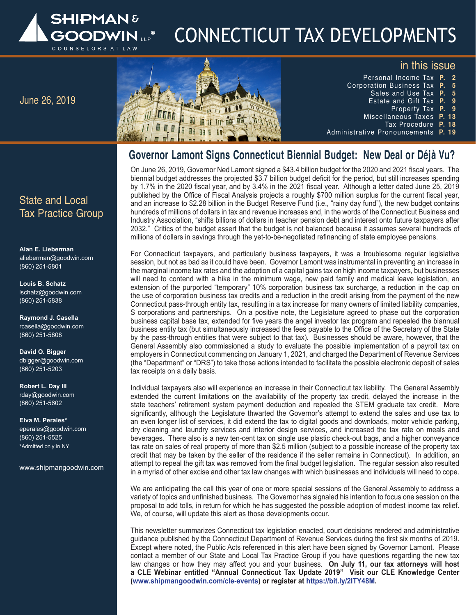

# CONNECTICUT TAX DEVELOPMENTS

## in this issue



- Personal Income Tax **P.   2** Corporation Business Tax **P.   5** Sales and Use Tax **P.   5** Estate and Gift Tax **P.   9 Property Tax** 
	- Miscellaneous Taxes **P. 13**
		- Tax Procedure **P. 18**
- Administrative Pronouncements **P. 19**

# **Governor Lamont Signs Connecticut Biennial Budget: New Deal or Déjà Vu?**

On June 26, 2019, Governor Ned Lamont signed a \$43.4 billion budget for the 2020 and 2021 fiscal years. The biennial budget addresses the projected \$3.7 billion budget deficit for the period, but still increases spending by 1.7% in the 2020 fiscal year, and by 3.4% in the 2021 fiscal year. Although a letter dated June 25, 2019 published by the Office of Fiscal Analysis projects a roughly \$700 million surplus for the current fiscal year, and an increase to \$2.28 billion in the Budget Reserve Fund (i.e., "rainy day fund"), the new budget contains hundreds of millions of dollars in tax and revenue increases and, in the words of the Connecticut Business and Industry Association, "shifts billions of dollars in teacher pension debt and interest onto future taxpayers after 2032." Critics of the budget assert that the budget is not balanced because it assumes several hundreds of millions of dollars in savings through the yet-to-be-negotiated refinancing of state employee pensions.

For Connecticut taxpayers, and particularly business taxpayers, it was a troublesome regular legislative session, but not as bad as it could have been. Governor Lamont was instrumental in preventing an increase in the marginal income tax rates and the adoption of a capital gains tax on high income taxpayers, but businesses will need to contend with a hike in the minimum wage, new paid family and medical leave legislation, an extension of the purported "temporary" 10% corporation business tax surcharge, a reduction in the cap on the use of corporation business tax credits and a reduction in the credit arising from the payment of the new Connecticut pass-through entity tax, resulting in a tax increase for many owners of limited liability companies, S corporations and partnerships. On a positive note, the Legislature agreed to phase out the corporation business capital base tax, extended for five years the angel investor tax program and repealed the biannual business entity tax (but simultaneously increased the fees payable to the Office of the Secretary of the State by the pass-through entities that were subject to that tax). Businesses should be aware, however, that the General Assembly also commissioned a study to evaluate the possible implementation of a payroll tax on employers in Connecticut commencing on January 1, 2021, and charged the Department of Revenue Services (the "Department" or "DRS") to take those actions intended to facilitate the possible electronic deposit of sales tax receipts on a daily basis.

Individual taxpayers also will experience an increase in their Connecticut tax liability. The General Assembly extended the current limitations on the availability of the property tax credit, delayed the increase in the state teachers' retirement system payment deduction and repealed the STEM graduate tax credit. More significantly, although the Legislature thwarted the Governor's attempt to extend the sales and use tax to an even longer list of services, it did extend the tax to digital goods and downloads, motor vehicle parking, dry cleaning and laundry services and interior design services, and increased the tax rate on meals and beverages. There also is a new ten-cent tax on single use plastic check-out bags, and a higher conveyance tax rate on sales of real property of more than \$2.5 million (subject to a possible increase of the property tax credit that may be taken by the seller of the residence if the seller remains in Connecticut). In addition, an attempt to repeal the gift tax was removed from the final budget legislation. The regular session also resulted in a myriad of other excise and other tax law changes with which businesses and individuals will need to cope.

We are anticipating the call this year of one or more special sessions of the General Assembly to address a variety of topics and unfinished business. The Governor has signaled his intention to focus one session on the proposal to add tolls, in return for which he has suggested the possible adoption of modest income tax relief. We, of course, will update this alert as those developments occur.

This newsletter summarizes Connecticut tax legislation enacted, court decisions rendered and administrative guidance published by the Connecticut Department of Revenue Services during the first six months of 2019. Except where noted, the Public Acts referenced in this alert have been signed by Governor Lamont. Please contact a member of our State and Local Tax Practice Group if you have questions regarding the new tax law changes or how they may affect you and your business. **On July 11, our tax attorneys will host a CLE Webinar entitled "Annual Connecticut Tax Update 2019" Visit our CLE Knowledge Center (www.shipmangoodwin.com/cle-events) or register at https://bit.ly/2ITY48M.**

#### $C<sub>total</sub>$ Employment Change Change Change Change Change Change Change Change Change Change Change Change Change Change C<br>Experience Change Change Change Change Change Change Change Change Change Change Change Change Change Change C State and Local Tax Practice Group

**Alan E. Lieberman** alieberman@goodwin.com (860) 251-5801

**Louis B. Schatz** lschatz@goodwin.com (860) 251-5838

**Raymond J. Casella** rcasella@goodwin.com (860) 251-5808

**David O. Bigger** dbigger@goodwin.com RICH MILLS (860) 251-5203

**Robert L. Day III** rday@goodwin.com (860) 251-5602

**Elva M. Perales\*** eperales@goodwin.com (860) 251-5525 \*Admitted only in NY

www.shipmangoodwin.com HENRY ZACCARDI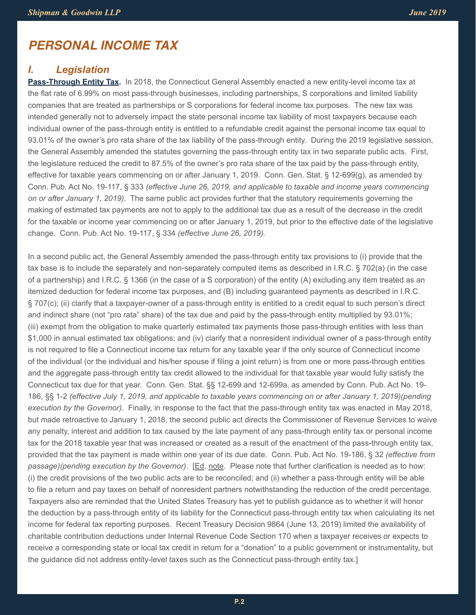# *PERSONAL INCOME TAX*

## *I. Legislation*

**Pass-Through Entity Tax.** In 2018, the Connecticut General Assembly enacted a new entity-level income tax at the flat rate of 6.99% on most pass-through businesses, including partnerships, S corporations and limited liability companies that are treated as partnerships or S corporations for federal income tax purposes. The new tax was intended generally not to adversely impact the state personal income tax liability of most taxpayers because each individual owner of the pass-through entity is entitled to a refundable credit against the personal income tax equal to 93.01% of the owner's pro rata share of the tax liability of the pass-through entity. During the 2019 legislative session, the General Assembly amended the statutes governing the pass-through entity tax in two separate public acts. First, the legislature reduced the credit to 87.5% of the owner's pro rata share of the tax paid by the pass-through entity, effective for taxable years commencing on or after January 1, 2019. Conn. Gen. Stat. § 12-699(g), as amended by Conn. Pub. Act No. 19-117, § 333 *(effective June 26, 2019, and applicable to taxable and income years commencing on or after January 1, 2019)*. The same public act provides further that the statutory requirements governing the making of estimated tax payments are not to apply to the additional tax due as a result of the decrease in the credit for the taxable or income year commencing on or after January 1, 2019, but prior to the effective date of the legislative change. Conn. Pub. Act No. 19-117, § 334 *(effective June 26, 2019).*

In a second public act, the General Assembly amended the pass-through entity tax provisions to (i) provide that the tax base is to include the separately and non-separately computed items as described in I.R.C. § 702(a) (in the case of a partnership) and I.R.C. § 1366 (in the case of a S corporation) of the entity (A) excluding any item treated as an itemized deduction for federal income tax purposes, and (B) including guaranteed payments as described in I.R.C. § 707(c); (ii) clarify that a taxpayer-owner of a pass-through entity is entitled to a credit equal to such person's direct and indirect share (not "pro rata" share) of the tax due and paid by the pass-through entity multiplied by 93.01%; (iii) exempt from the obligation to make quarterly estimated tax payments those pass-through entities with less than \$1,000 in annual estimated tax obligations; and (iv) clarify that a nonresident individual owner of a pass-through entity is not required to file a Connecticut income tax return for any taxable year if the only source of Connecticut income of the individual (or the individual and his/her spouse if filing a joint return) is from one or more pass-through entities and the aggregate pass-through entity tax credit allowed to the individual for that taxable year would fully satisfy the Connecticut tax due for that year. Conn. Gen. Stat. §§ 12-699 and 12-699a, as amended by Conn. Pub. Act No. 19- 186, §§ 1-2 *(effective July 1, 2019, and applicable to taxable years commencing on or after January 1, 2019)(pending execution by the Governor)*. Finally, in response to the fact that the pass-through entity tax was enacted in May 2018, but made retroactive to January 1, 2018, the second public act directs the Commissioner of Revenue Services to waive any penalty, interest and addition to tax caused by the late payment of any pass-through entity tax or personal income tax for the 2018 taxable year that was increased or created as a result of the enactment of the pass-through entity tax, provided that the tax payment is made within one year of its due date. Conn. Pub. Act No. 19-186, § 32 *(effective from passage)(pending execution by the Governor)*. [Ed. note. Please note that further clarification is needed as to how: (i) the credit provisions of the two public acts are to be reconciled; and (ii) whether a pass-through entity will be able to file a return and pay taxes on behalf of nonresident partners notwithstanding the reduction of the credit percentage. Taxpayers also are reminded that the United States Treasury has yet to publish guidance as to whether it will honor the deduction by a pass-through entity of its liability for the Connecticut pass-through entity tax when calculating its net income for federal tax reporting purposes. Recent Treasury Decision 9864 (June 13, 2019) limited the availability of charitable contribution deductions under Internal Revenue Code Section 170 when a taxpayer receives or expects to receive a corresponding state or local tax credit in return for a "donation" to a public government or instrumentality, but the guidance did not address entity-level taxes such as the Connecticut pass-through entity tax.]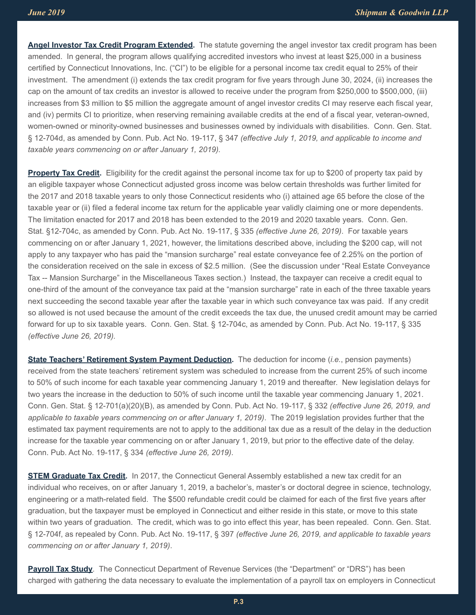**Angel Investor Tax Credit Program Extended.** The statute governing the angel investor tax credit program has been amended. In general, the program allows qualifying accredited investors who invest at least \$25,000 in a business certified by Connecticut Innovations, Inc. ("CI") to be eligible for a personal income tax credit equal to 25% of their investment. The amendment (i) extends the tax credit program for five years through June 30, 2024, (ii) increases the cap on the amount of tax credits an investor is allowed to receive under the program from \$250,000 to \$500,000, (iii) increases from \$3 million to \$5 million the aggregate amount of angel investor credits CI may reserve each fiscal year, and (iv) permits CI to prioritize, when reserving remaining available credits at the end of a fiscal year, veteran-owned, women-owned or minority-owned businesses and businesses owned by individuals with disabilities. Conn. Gen. Stat. § 12-704d, as amended by Conn. Pub. Act No. 19-117, § 347 *(effective July 1, 2019, and applicable to income and taxable years commencing on or after January 1, 2019).*

**Property Tax Credit.** Eligibility for the credit against the personal income tax for up to \$200 of property tax paid by an eligible taxpayer whose Connecticut adjusted gross income was below certain thresholds was further limited for the 2017 and 2018 taxable years to only those Connecticut residents who (i) attained age 65 before the close of the taxable year or (ii) filed a federal income tax return for the applicable year validly claiming one or more dependents. The limitation enacted for 2017 and 2018 has been extended to the 2019 and 2020 taxable years. Conn. Gen. Stat. §12-704c, as amended by Conn. Pub. Act No. 19-117, § 335 *(effective June 26, 2019)*. For taxable years commencing on or after January 1, 2021, however, the limitations described above, including the \$200 cap, will not apply to any taxpayer who has paid the "mansion surcharge" real estate conveyance fee of 2.25% on the portion of the consideration received on the sale in excess of \$2.5 million. (See the discussion under "Real Estate Conveyance Tax -- Mansion Surcharge" in the Miscellaneous Taxes section.) Instead, the taxpayer can receive a credit equal to one-third of the amount of the conveyance tax paid at the "mansion surcharge" rate in each of the three taxable years next succeeding the second taxable year after the taxable year in which such conveyance tax was paid. If any credit so allowed is not used because the amount of the credit exceeds the tax due, the unused credit amount may be carried forward for up to six taxable years. Conn. Gen. Stat. § 12-704c, as amended by Conn. Pub. Act No. 19-117, § 335 *(effective June 26, 2019).*

**State Teachers' Retirement System Payment Deduction.** The deduction for income (*i.e.*, pension payments) received from the state teachers' retirement system was scheduled to increase from the current 25% of such income to 50% of such income for each taxable year commencing January 1, 2019 and thereafter. New legislation delays for two years the increase in the deduction to 50% of such income until the taxable year commencing January 1, 2021. Conn. Gen. Stat. § 12-701(a)(20)(B), as amended by Conn. Pub. Act No. 19-117, § 332 *(effective June 26, 2019, and applicable to taxable years commencing on or after January 1, 2019)*. The 2019 legislation provides further that the estimated tax payment requirements are not to apply to the additional tax due as a result of the delay in the deduction increase for the taxable year commencing on or after January 1, 2019, but prior to the effective date of the delay. Conn. Pub. Act No. 19-117, § 334 *(effective June 26, 2019)*.

**STEM Graduate Tax Credit.** In 2017, the Connecticut General Assembly established a new tax credit for an individual who receives, on or after January 1, 2019, a bachelor's, master's or doctoral degree in science, technology, engineering or a math-related field. The \$500 refundable credit could be claimed for each of the first five years after graduation, but the taxpayer must be employed in Connecticut and either reside in this state, or move to this state within two years of graduation. The credit, which was to go into effect this year, has been repealed. Conn. Gen. Stat. § 12-704f, as repealed by Conn. Pub. Act No. 19-117, § 397 *(effective June 26, 2019, and applicable to taxable years commencing on or after January 1, 2019)*.

**Payroll Tax Study**. The Connecticut Department of Revenue Services (the "Department" or "DRS") has been charged with gathering the data necessary to evaluate the implementation of a payroll tax on employers in Connecticut

**P.3**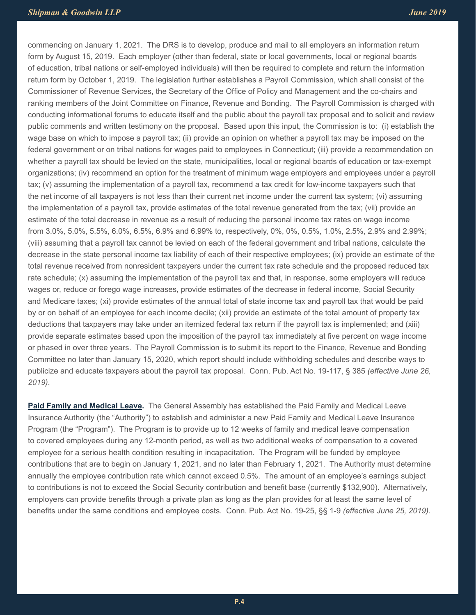commencing on January 1, 2021. The DRS is to develop, produce and mail to all employers an information return form by August 15, 2019. Each employer (other than federal, state or local governments, local or regional boards of education, tribal nations or self-employed individuals) will then be required to complete and return the information return form by October 1, 2019. The legislation further establishes a Payroll Commission, which shall consist of the Commissioner of Revenue Services, the Secretary of the Office of Policy and Management and the co-chairs and ranking members of the Joint Committee on Finance, Revenue and Bonding. The Payroll Commission is charged with conducting informational forums to educate itself and the public about the payroll tax proposal and to solicit and review public comments and written testimony on the proposal. Based upon this input, the Commission is to: (i) establish the wage base on which to impose a payroll tax; (ii) provide an opinion on whether a payroll tax may be imposed on the federal government or on tribal nations for wages paid to employees in Connecticut; (iii) provide a recommendation on whether a payroll tax should be levied on the state, municipalities, local or regional boards of education or tax-exempt organizations; (iv) recommend an option for the treatment of minimum wage employers and employees under a payroll tax; (v) assuming the implementation of a payroll tax, recommend a tax credit for low-income taxpayers such that the net income of all taxpayers is not less than their current net income under the current tax system; (vi) assuming the implementation of a payroll tax, provide estimates of the total revenue generated from the tax; (vii) provide an estimate of the total decrease in revenue as a result of reducing the personal income tax rates on wage income from 3.0%, 5.0%, 5.5%, 6.0%, 6.5%, 6.9% and 6.99% to, respectively, 0%, 0%, 0.5%, 1.0%, 2.5%, 2.9% and 2.99%; (viii) assuming that a payroll tax cannot be levied on each of the federal government and tribal nations, calculate the decrease in the state personal income tax liability of each of their respective employees; (ix) provide an estimate of the total revenue received from nonresident taxpayers under the current tax rate schedule and the proposed reduced tax rate schedule; (x) assuming the implementation of the payroll tax and that, in response, some employers will reduce wages or, reduce or forego wage increases, provide estimates of the decrease in federal income, Social Security and Medicare taxes; (xi) provide estimates of the annual total of state income tax and payroll tax that would be paid by or on behalf of an employee for each income decile; (xii) provide an estimate of the total amount of property tax deductions that taxpayers may take under an itemized federal tax return if the payroll tax is implemented; and (xiii) provide separate estimates based upon the imposition of the payroll tax immediately at five percent on wage income or phased in over three years. The Payroll Commission is to submit its report to the Finance, Revenue and Bonding Committee no later than January 15, 2020, which report should include withholding schedules and describe ways to publicize and educate taxpayers about the payroll tax proposal. Conn. Pub. Act No. 19-117, § 385 *(effective June 26, 2019)*.

**Paid Family and Medical Leave.** The General Assembly has established the Paid Family and Medical Leave Insurance Authority (the "Authority") to establish and administer a new Paid Family and Medical Leave Insurance Program (the "Program"). The Program is to provide up to 12 weeks of family and medical leave compensation to covered employees during any 12-month period, as well as two additional weeks of compensation to a covered employee for a serious health condition resulting in incapacitation. The Program will be funded by employee contributions that are to begin on January 1, 2021, and no later than February 1, 2021. The Authority must determine annually the employee contribution rate which cannot exceed 0.5%. The amount of an employee's earnings subject to contributions is not to exceed the Social Security contribution and benefit base (currently \$132,900). Alternatively, employers can provide benefits through a private plan as long as the plan provides for at least the same level of benefits under the same conditions and employee costs. Conn. Pub. Act No. 19-25, §§ 1-9 *(effective June 25, 2019).*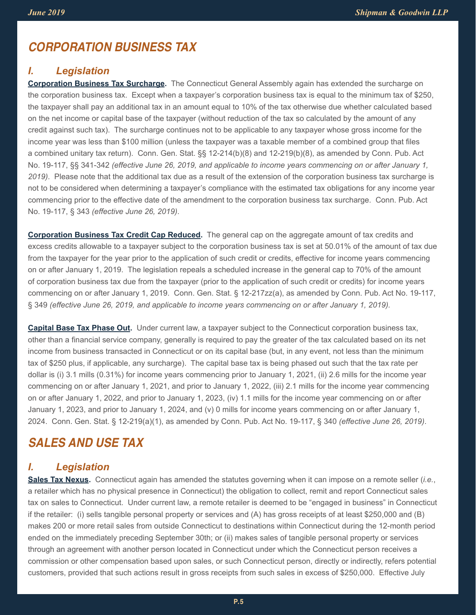## *CORPORATION BUSINESS TAX*

#### *I. Legislation*

**Corporation Business Tax Surcharge.** The Connecticut General Assembly again has extended the surcharge on the corporation business tax. Except when a taxpayer's corporation business tax is equal to the minimum tax of \$250, the taxpayer shall pay an additional tax in an amount equal to 10% of the tax otherwise due whether calculated based on the net income or capital base of the taxpayer (without reduction of the tax so calculated by the amount of any credit against such tax). The surcharge continues not to be applicable to any taxpayer whose gross income for the income year was less than \$100 million (unless the taxpayer was a taxable member of a combined group that files a combined unitary tax return). Conn. Gen. Stat. §§ 12-214(b)(8) and 12-219(b)(8), as amended by Conn. Pub. Act No. 19-117, §§ 341-342 *(effective June 26, 2019, and applicable to income years commencing on or after January 1, 2019)*. Please note that the additional tax due as a result of the extension of the corporation business tax surcharge is not to be considered when determining a taxpayer's compliance with the estimated tax obligations for any income year commencing prior to the effective date of the amendment to the corporation business tax surcharge. Conn. Pub. Act No. 19-117, § 343 *(effective June 26, 2019)*.

**Corporation Business Tax Credit Cap Reduced.** The general cap on the aggregate amount of tax credits and excess credits allowable to a taxpayer subject to the corporation business tax is set at 50.01% of the amount of tax due from the taxpayer for the year prior to the application of such credit or credits, effective for income years commencing on or after January 1, 2019. The legislation repeals a scheduled increase in the general cap to 70% of the amount of corporation business tax due from the taxpayer (prior to the application of such credit or credits) for income years commencing on or after January 1, 2019. Conn. Gen. Stat. § 12-217zz(a), as amended by Conn. Pub. Act No. 19-117, § 349 *(effective June 26, 2019, and applicable to income years commencing on or after January 1, 2019).*

**Capital Base Tax Phase Out.** Under current law, a taxpayer subject to the Connecticut corporation business tax, other than a financial service company, generally is required to pay the greater of the tax calculated based on its net income from business transacted in Connecticut or on its capital base (but, in any event, not less than the minimum tax of \$250 plus, if applicable, any surcharge). The capital base tax is being phased out such that the tax rate per dollar is (i) 3.1 mills (0.31%) for income years commencing prior to January 1, 2021, (ii) 2.6 mills for the income year commencing on or after January 1, 2021, and prior to January 1, 2022, (iii) 2.1 mills for the income year commencing on or after January 1, 2022, and prior to January 1, 2023, (iv) 1.1 mills for the income year commencing on or after January 1, 2023, and prior to January 1, 2024, and (v) 0 mills for income years commencing on or after January 1, 2024. Conn. Gen. Stat. § 12-219(a)(1), as amended by Conn. Pub. Act No. 19-117, § 340 *(effective June 26, 2019)*.

# *SALES AND USE TAX*

## *I. Legislation*

**Sales Tax Nexus.** Connecticut again has amended the statutes governing when it can impose on a remote seller (*i.e.*, a retailer which has no physical presence in Connecticut) the obligation to collect, remit and report Connecticut sales tax on sales to Connecticut. Under current law, a remote retailer is deemed to be "engaged in business" in Connecticut if the retailer: (i) sells tangible personal property or services and (A) has gross receipts of at least \$250,000 and (B) makes 200 or more retail sales from outside Connecticut to destinations within Connecticut during the 12-month period ended on the immediately preceding September 30th; or (ii) makes sales of tangible personal property or services through an agreement with another person located in Connecticut under which the Connecticut person receives a commission or other compensation based upon sales, or such Connecticut person, directly or indirectly, refers potential customers, provided that such actions result in gross receipts from such sales in excess of \$250,000. Effective July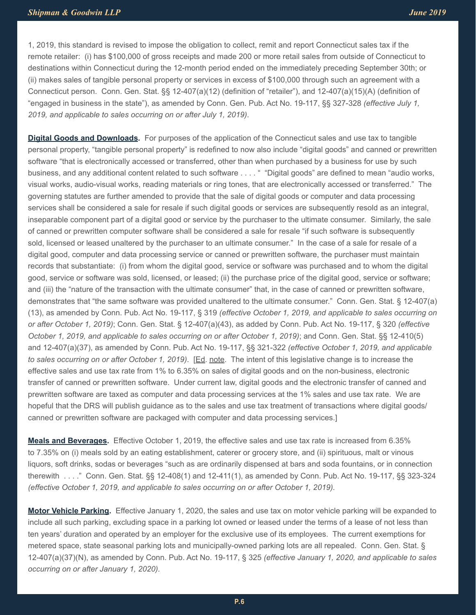1, 2019, this standard is revised to impose the obligation to collect, remit and report Connecticut sales tax if the remote retailer: (i) has \$100,000 of gross receipts and made 200 or more retail sales from outside of Connecticut to destinations within Connecticut during the 12-month period ended on the immediately preceding September 30th; or (ii) makes sales of tangible personal property or services in excess of \$100,000 through such an agreement with a Connecticut person. Conn. Gen. Stat. §§ 12-407(a)(12) (definition of "retailer"), and 12-407(a)(15)(A) (definition of "engaged in business in the state"), as amended by Conn. Gen. Pub. Act No. 19-117, §§ 327-328 *(effective July 1, 2019, and applicable to sales occurring on or after July 1, 2019)*.

**Digital Goods and Downloads.** For purposes of the application of the Connecticut sales and use tax to tangible personal property, "tangible personal property" is redefined to now also include "digital goods" and canned or prewritten software "that is electronically accessed or transferred, other than when purchased by a business for use by such business, and any additional content related to such software . . . . " "Digital goods" are defined to mean "audio works, visual works, audio-visual works, reading materials or ring tones, that are electronically accessed or transferred." The governing statutes are further amended to provide that the sale of digital goods or computer and data processing services shall be considered a sale for resale if such digital goods or services are subsequently resold as an integral, inseparable component part of a digital good or service by the purchaser to the ultimate consumer. Similarly, the sale of canned or prewritten computer software shall be considered a sale for resale "if such software is subsequently sold, licensed or leased unaltered by the purchaser to an ultimate consumer." In the case of a sale for resale of a digital good, computer and data processing service or canned or prewritten software, the purchaser must maintain records that substantiate: (i) from whom the digital good, service or software was purchased and to whom the digital good, service or software was sold, licensed, or leased; (ii) the purchase price of the digital good, service or software; and (iii) the "nature of the transaction with the ultimate consumer" that, in the case of canned or prewritten software, demonstrates that "the same software was provided unaltered to the ultimate consumer." Conn. Gen. Stat. § 12-407(a) (13), as amended by Conn. Pub. Act No. 19-117, § 319 *(effective October 1, 2019, and applicable to sales occurring on or after October 1, 2019)*; Conn. Gen. Stat. § 12-407(a)(43), as added by Conn. Pub. Act No. 19-117, § 320 *(effective October 1, 2019, and applicable to sales occurring on or after October 1, 2019)*; and Conn. Gen. Stat. §§ 12-410(5) and 12-407(a)(37), as amended by Conn. Pub. Act No. 19-117, §§ 321-322 *(effective October 1, 2019, and applicable to sales occurring on or after October 1, 2019)*. [Ed. note. The intent of this legislative change is to increase the effective sales and use tax rate from 1% to 6.35% on sales of digital goods and on the non-business, electronic transfer of canned or prewritten software. Under current law, digital goods and the electronic transfer of canned and prewritten software are taxed as computer and data processing services at the 1% sales and use tax rate. We are hopeful that the DRS will publish guidance as to the sales and use tax treatment of transactions where digital goods/ canned or prewritten software are packaged with computer and data processing services.]

**Meals and Beverages.** Effective October 1, 2019, the effective sales and use tax rate is increased from 6.35% to 7.35% on (i) meals sold by an eating establishment, caterer or grocery store, and (ii) spirituous, malt or vinous liquors, soft drinks, sodas or beverages "such as are ordinarily dispensed at bars and soda fountains, or in connection therewith . . . ." Conn. Gen. Stat. §§ 12-408(1) and 12-411(1), as amended by Conn. Pub. Act No. 19-117, §§ 323-324 *(effective October 1, 2019, and applicable to sales occurring on or after October 1, 2019).*

**Motor Vehicle Parking.** Effective January 1, 2020, the sales and use tax on motor vehicle parking will be expanded to include all such parking, excluding space in a parking lot owned or leased under the terms of a lease of not less than ten years' duration and operated by an employer for the exclusive use of its employees. The current exemptions for metered space, state seasonal parking lots and municipally-owned parking lots are all repealed. Conn. Gen. Stat. § 12-407(a)(37)(N), as amended by Conn. Pub. Act No. 19-117, § 325 *(effective January 1, 2020, and applicable to sales occurring on or after January 1, 2020).*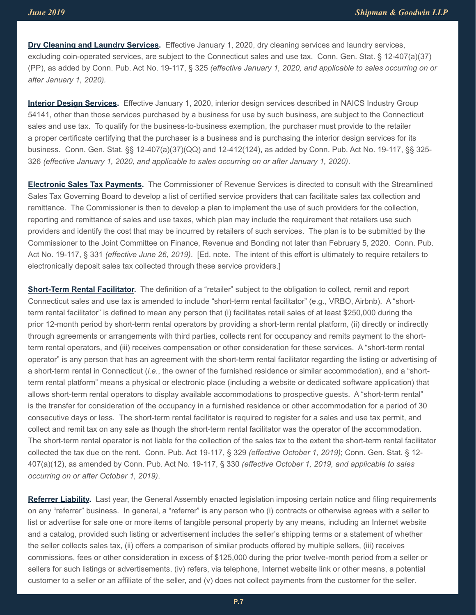**Dry Cleaning and Laundry Services.** Effective January 1, 2020, dry cleaning services and laundry services, excluding coin-operated services, are subject to the Connecticut sales and use tax. Conn. Gen. Stat. § 12-407(a)(37) (PP), as added by Conn. Pub. Act No. 19-117, § 325 *(effective January 1, 2020, and applicable to sales occurring on or after January 1, 2020).*

**Interior Design Services.** Effective January 1, 2020, interior design services described in NAICS Industry Group 54141, other than those services purchased by a business for use by such business, are subject to the Connecticut sales and use tax. To qualify for the business-to-business exemption, the purchaser must provide to the retailer a proper certificate certifying that the purchaser is a business and is purchasing the interior design services for its business. Conn. Gen. Stat. §§ 12-407(a)(37)(QQ) and 12-412(124), as added by Conn. Pub. Act No. 19-117, §§ 325- 326 *(effective January 1, 2020, and applicable to sales occurring on or after January 1, 2020)*.

**Electronic Sales Tax Payments.** The Commissioner of Revenue Services is directed to consult with the Streamlined Sales Tax Governing Board to develop a list of certified service providers that can facilitate sales tax collection and remittance. The Commissioner is then to develop a plan to implement the use of such providers for the collection, reporting and remittance of sales and use taxes, which plan may include the requirement that retailers use such providers and identify the cost that may be incurred by retailers of such services. The plan is to be submitted by the Commissioner to the Joint Committee on Finance, Revenue and Bonding not later than February 5, 2020. Conn. Pub. Act No. 19-117, § 331 *(effective June 26, 2019)*. [Ed. note. The intent of this effort is ultimately to require retailers to electronically deposit sales tax collected through these service providers.]

**Short-Term Rental Facilitator.** The definition of a "retailer" subject to the obligation to collect, remit and report Connecticut sales and use tax is amended to include "short-term rental facilitator" (e.g., VRBO, Airbnb). A "shortterm rental facilitator" is defined to mean any person that (i) facilitates retail sales of at least \$250,000 during the prior 12-month period by short-term rental operators by providing a short-term rental platform, (ii) directly or indirectly through agreements or arrangements with third parties, collects rent for occupancy and remits payment to the shortterm rental operators, and (iii) receives compensation or other consideration for these services. A "short-term rental operator" is any person that has an agreement with the short-term rental facilitator regarding the listing or advertising of a short-term rental in Connecticut (*i.e.*, the owner of the furnished residence or similar accommodation), and a "shortterm rental platform" means a physical or electronic place (including a website or dedicated software application) that allows short-term rental operators to display available accommodations to prospective guests. A "short-term rental" is the transfer for consideration of the occupancy in a furnished residence or other accommodation for a period of 30 consecutive days or less. The short-term rental facilitator is required to register for a sales and use tax permit, and collect and remit tax on any sale as though the short-term rental facilitator was the operator of the accommodation. The short-term rental operator is not liable for the collection of the sales tax to the extent the short-term rental facilitator collected the tax due on the rent. Conn. Pub. Act 19-117, § 329 *(effective October 1, 2019)*; Conn. Gen. Stat. § 12- 407(a)(12), as amended by Conn. Pub. Act No. 19-117, § 330 *(effective October 1, 2019, and applicable to sales occurring on or after October 1, 2019)*.

**Referrer Liability.** Last year, the General Assembly enacted legislation imposing certain notice and filing requirements on any "referrer" business. In general, a "referrer" is any person who (i) contracts or otherwise agrees with a seller to list or advertise for sale one or more items of tangible personal property by any means, including an Internet website and a catalog, provided such listing or advertisement includes the seller's shipping terms or a statement of whether the seller collects sales tax, (ii) offers a comparison of similar products offered by multiple sellers, (iii) receives commissions, fees or other consideration in excess of \$125,000 during the prior twelve-month period from a seller or sellers for such listings or advertisements, (iv) refers, via telephone, Internet website link or other means, a potential customer to a seller or an affiliate of the seller, and (v) does not collect payments from the customer for the seller.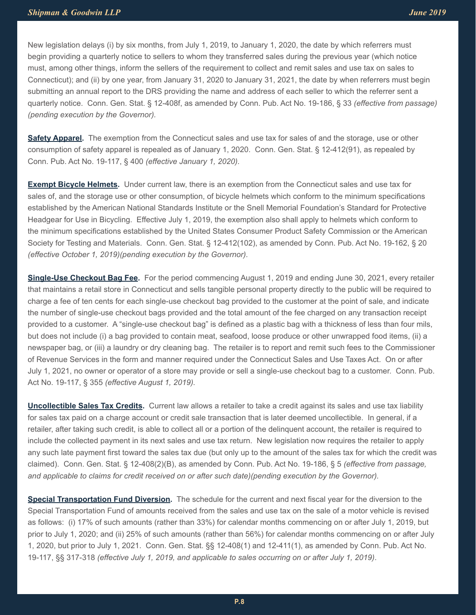New legislation delays (i) by six months, from July 1, 2019, to January 1, 2020, the date by which referrers must begin providing a quarterly notice to sellers to whom they transferred sales during the previous year (which notice must, among other things, inform the sellers of the requirement to collect and remit sales and use tax on sales to Connecticut); and (ii) by one year, from January 31, 2020 to January 31, 2021, the date by when referrers must begin submitting an annual report to the DRS providing the name and address of each seller to which the referrer sent a quarterly notice. Conn. Gen. Stat. § 12-408f, as amended by Conn. Pub. Act No. 19-186, § 33 *(effective from passage) (pending execution by the Governor).*

**Safety Apparel.** The exemption from the Connecticut sales and use tax for sales of and the storage, use or other consumption of safety apparel is repealed as of January 1, 2020. Conn. Gen. Stat. § 12-412(91), as repealed by Conn. Pub. Act No. 19-117, § 400 *(effective January 1, 2020).*

**Exempt Bicycle Helmets.** Under current law, there is an exemption from the Connecticut sales and use tax for sales of, and the storage use or other consumption, of bicycle helmets which conform to the minimum specifications established by the American National Standards Institute or the Snell Memorial Foundation's Standard for Protective Headgear for Use in Bicycling. Effective July 1, 2019, the exemption also shall apply to helmets which conform to the minimum specifications established by the United States Consumer Product Safety Commission or the American Society for Testing and Materials. Conn. Gen. Stat. § 12-412(102), as amended by Conn. Pub. Act No. 19-162, § 20 *(effective October 1, 2019)(pending execution by the Governor).*

**Single-Use Checkout Bag Fee.** For the period commencing August 1, 2019 and ending June 30, 2021, every retailer that maintains a retail store in Connecticut and sells tangible personal property directly to the public will be required to charge a fee of ten cents for each single-use checkout bag provided to the customer at the point of sale, and indicate the number of single-use checkout bags provided and the total amount of the fee charged on any transaction receipt provided to a customer. A "single-use checkout bag" is defined as a plastic bag with a thickness of less than four mils, but does not include (i) a bag provided to contain meat, seafood, loose produce or other unwrapped food items, (ii) a newspaper bag, or (iii) a laundry or dry cleaning bag. The retailer is to report and remit such fees to the Commissioner of Revenue Services in the form and manner required under the Connecticut Sales and Use Taxes Act. On or after July 1, 2021, no owner or operator of a store may provide or sell a single-use checkout bag to a customer. Conn. Pub. Act No. 19-117, § 355 *(effective August 1, 2019).*

**Uncollectible Sales Tax Credits.** Current law allows a retailer to take a credit against its sales and use tax liability for sales tax paid on a charge account or credit sale transaction that is later deemed uncollectible. In general, if a retailer, after taking such credit, is able to collect all or a portion of the delinquent account, the retailer is required to include the collected payment in its next sales and use tax return. New legislation now requires the retailer to apply any such late payment first toward the sales tax due (but only up to the amount of the sales tax for which the credit was claimed). Conn. Gen. Stat. § 12-408(2)(B), as amended by Conn. Pub. Act No. 19-186, § 5 *(effective from passage, and applicable to claims for credit received on or after such date)(pending execution by the Governor).*

**Special Transportation Fund Diversion.** The schedule for the current and next fiscal year for the diversion to the Special Transportation Fund of amounts received from the sales and use tax on the sale of a motor vehicle is revised as follows: (i) 17% of such amounts (rather than 33%) for calendar months commencing on or after July 1, 2019, but prior to July 1, 2020; and (ii) 25% of such amounts (rather than 56%) for calendar months commencing on or after July 1, 2020, but prior to July 1, 2021. Conn. Gen. Stat. §§ 12-408(1) and 12-411(1), as amended by Conn. Pub. Act No. 19-117, §§ 317-318 *(effective July 1, 2019, and applicable to sales occurring on or after July 1, 2019)*.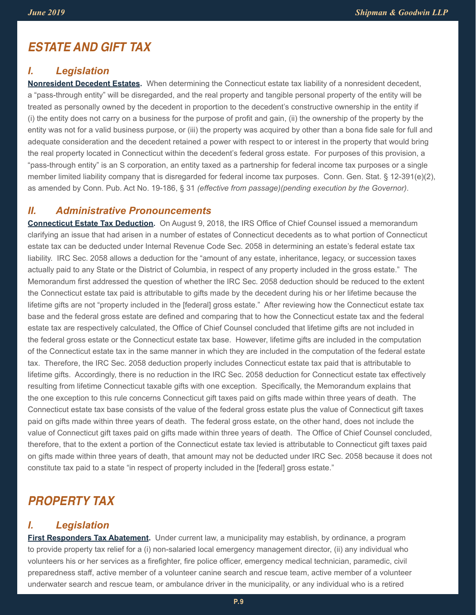## *ESTATE AND GIFT TAX*

#### *I. Legislation*

**Nonresident Decedent Estates.** When determining the Connecticut estate tax liability of a nonresident decedent, a "pass-through entity" will be disregarded, and the real property and tangible personal property of the entity will be treated as personally owned by the decedent in proportion to the decedent's constructive ownership in the entity if (i) the entity does not carry on a business for the purpose of profit and gain, (ii) the ownership of the property by the entity was not for a valid business purpose, or (iii) the property was acquired by other than a bona fide sale for full and adequate consideration and the decedent retained a power with respect to or interest in the property that would bring the real property located in Connecticut within the decedent's federal gross estate. For purposes of this provision, a "pass-through entity" is an S corporation, an entity taxed as a partnership for federal income tax purposes or a single member limited liability company that is disregarded for federal income tax purposes. Conn. Gen. Stat. § 12-391(e)(2), as amended by Conn. Pub. Act No. 19-186, § 31 *(effective from passage)(pending execution by the Governor)*.

#### *II. Administrative Pronouncements*

**Connecticut Estate Tax Deduction.** On August 9, 2018, the IRS Office of Chief Counsel issued a memorandum clarifying an issue that had arisen in a number of estates of Connecticut decedents as to what portion of Connecticut estate tax can be deducted under Internal Revenue Code Sec. 2058 in determining an estate's federal estate tax liability. IRC Sec. 2058 allows a deduction for the "amount of any estate, inheritance, legacy, or succession taxes actually paid to any State or the District of Columbia, in respect of any property included in the gross estate." The Memorandum first addressed the question of whether the IRC Sec. 2058 deduction should be reduced to the extent the Connecticut estate tax paid is attributable to gifts made by the decedent during his or her lifetime because the lifetime gifts are not "property included in the [federal] gross estate." After reviewing how the Connecticut estate tax base and the federal gross estate are defined and comparing that to how the Connecticut estate tax and the federal estate tax are respectively calculated, the Office of Chief Counsel concluded that lifetime gifts are not included in the federal gross estate or the Connecticut estate tax base. However, lifetime gifts are included in the computation of the Connecticut estate tax in the same manner in which they are included in the computation of the federal estate tax. Therefore, the IRC Sec. 2058 deduction properly includes Connecticut estate tax paid that is attributable to lifetime gifts. Accordingly, there is no reduction in the IRC Sec. 2058 deduction for Connecticut estate tax effectively resulting from lifetime Connecticut taxable gifts with one exception. Specifically, the Memorandum explains that the one exception to this rule concerns Connecticut gift taxes paid on gifts made within three years of death. The Connecticut estate tax base consists of the value of the federal gross estate plus the value of Connecticut gift taxes paid on gifts made within three years of death. The federal gross estate, on the other hand, does not include the value of Connecticut gift taxes paid on gifts made within three years of death. The Office of Chief Counsel concluded, therefore, that to the extent a portion of the Connecticut estate tax levied is attributable to Connecticut gift taxes paid on gifts made within three years of death, that amount may not be deducted under IRC Sec. 2058 because it does not constitute tax paid to a state "in respect of property included in the [federal] gross estate."

## *PROPERTY TAX*

### *I. Legislation*

**First Responders Tax Abatement.** Under current law, a municipality may establish, by ordinance, a program to provide property tax relief for a (i) non-salaried local emergency management director, (ii) any individual who volunteers his or her services as a firefighter, fire police officer, emergency medical technician, paramedic, civil preparedness staff, active member of a volunteer canine search and rescue team, active member of a volunteer underwater search and rescue team, or ambulance driver in the municipality, or any individual who is a retired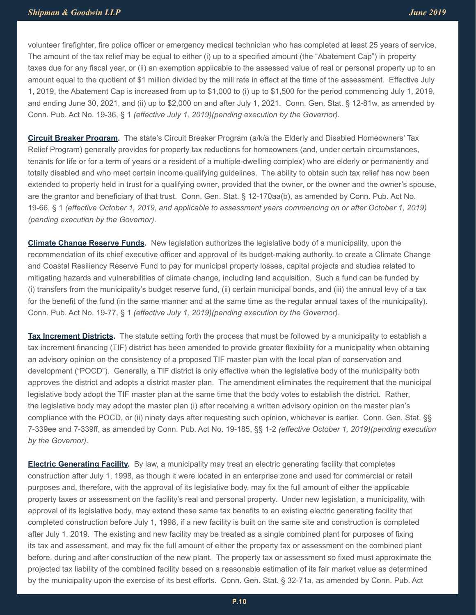volunteer firefighter, fire police officer or emergency medical technician who has completed at least 25 years of service. The amount of the tax relief may be equal to either (i) up to a specified amount (the "Abatement Cap") in property taxes due for any fiscal year, or (ii) an exemption applicable to the assessed value of real or personal property up to an amount equal to the quotient of \$1 million divided by the mill rate in effect at the time of the assessment. Effective July 1, 2019, the Abatement Cap is increased from up to \$1,000 to (i) up to \$1,500 for the period commencing July 1, 2019, and ending June 30, 2021, and (ii) up to \$2,000 on and after July 1, 2021. Conn. Gen. Stat. § 12-81w, as amended by Conn. Pub. Act No. 19-36, § 1 *(effective July 1, 2019)(pending execution by the Governor).*

**Circuit Breaker Program.** The state's Circuit Breaker Program (a/k/a the Elderly and Disabled Homeowners' Tax Relief Program) generally provides for property tax reductions for homeowners (and, under certain circumstances, tenants for life or for a term of years or a resident of a multiple-dwelling complex) who are elderly or permanently and totally disabled and who meet certain income qualifying guidelines. The ability to obtain such tax relief has now been extended to property held in trust for a qualifying owner, provided that the owner, or the owner and the owner's spouse, are the grantor and beneficiary of that trust. Conn. Gen. Stat. § 12-170aa(b), as amended by Conn. Pub. Act No. 19-66, § 1 *(effective October 1, 2019, and applicable to assessment years commencing on or after October 1, 2019) (pending execution by the Governor)*.

**Climate Change Reserve Funds.** New legislation authorizes the legislative body of a municipality, upon the recommendation of its chief executive officer and approval of its budget-making authority, to create a Climate Change and Coastal Resiliency Reserve Fund to pay for municipal property losses, capital projects and studies related to mitigating hazards and vulnerabilities of climate change, including land acquisition. Such a fund can be funded by (i) transfers from the municipality's budget reserve fund, (ii) certain municipal bonds, and (iii) the annual levy of a tax for the benefit of the fund (in the same manner and at the same time as the regular annual taxes of the municipality). Conn. Pub. Act No. 19-77, § 1 *(effective July 1, 2019)(pending execution by the Governor)*.

**Tax Increment Districts.** The statute setting forth the process that must be followed by a municipality to establish a tax increment financing (TIF) district has been amended to provide greater flexibility for a municipality when obtaining an advisory opinion on the consistency of a proposed TIF master plan with the local plan of conservation and development ("POCD"). Generally, a TIF district is only effective when the legislative body of the municipality both approves the district and adopts a district master plan. The amendment eliminates the requirement that the municipal legislative body adopt the TIF master plan at the same time that the body votes to establish the district. Rather, the legislative body may adopt the master plan (i) after receiving a written advisory opinion on the master plan's compliance with the POCD, or (ii) ninety days after requesting such opinion, whichever is earlier. Conn. Gen. Stat. §§ 7-339ee and 7-339ff, as amended by Conn. Pub. Act No. 19-185, §§ 1-2 *(effective October 1, 2019)(pending execution by the Governor).*

**Electric Generating Facility.** By law, a municipality may treat an electric generating facility that completes construction after July 1, 1998, as though it were located in an enterprise zone and used for commercial or retail purposes and, therefore, with the approval of its legislative body, may fix the full amount of either the applicable property taxes or assessment on the facility's real and personal property. Under new legislation, a municipality, with approval of its legislative body, may extend these same tax benefits to an existing electric generating facility that completed construction before July 1, 1998, if a new facility is built on the same site and construction is completed after July 1, 2019. The existing and new facility may be treated as a single combined plant for purposes of fixing its tax and assessment, and may fix the full amount of either the property tax or assessment on the combined plant before, during and after construction of the new plant. The property tax or assessment so fixed must approximate the projected tax liability of the combined facility based on a reasonable estimation of its fair market value as determined by the municipality upon the exercise of its best efforts. Conn. Gen. Stat. § 32-71a, as amended by Conn. Pub. Act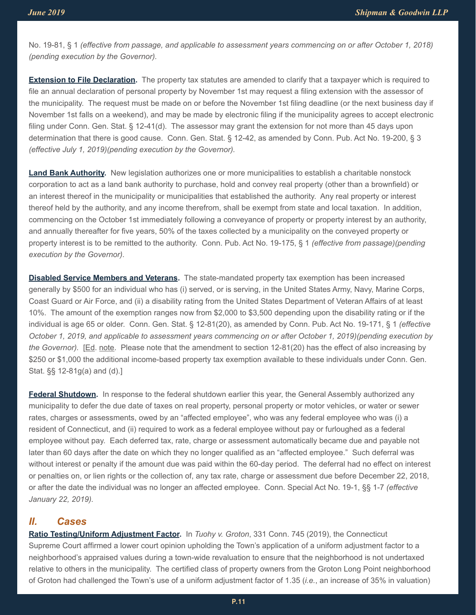No. 19-81, § 1 *(effective from passage, and applicable to assessment years commencing on or after October 1, 2018) (pending execution by the Governor).*

**Extension to File Declaration.** The property tax statutes are amended to clarify that a taxpayer which is required to file an annual declaration of personal property by November 1st may request a filing extension with the assessor of the municipality. The request must be made on or before the November 1st filing deadline (or the next business day if November 1st falls on a weekend), and may be made by electronic filing if the municipality agrees to accept electronic filing under Conn. Gen. Stat. § 12-41(d). The assessor may grant the extension for not more than 45 days upon determination that there is good cause. Conn. Gen. Stat. § 12-42, as amended by Conn. Pub. Act No. 19-200, § 3 *(effective July 1, 2019)(pending execution by the Governor).*

**Land Bank Authority.** New legislation authorizes one or more municipalities to establish a charitable nonstock corporation to act as a land bank authority to purchase, hold and convey real property (other than a brownfield) or an interest thereof in the municipality or municipalities that established the authority. Any real property or interest thereof held by the authority, and any income therefrom, shall be exempt from state and local taxation. In addition, commencing on the October 1st immediately following a conveyance of property or property interest by an authority, and annually thereafter for five years, 50% of the taxes collected by a municipality on the conveyed property or property interest is to be remitted to the authority. Conn. Pub. Act No. 19-175, § 1 *(effective from passage)(pending execution by the Governor).*

**Disabled Service Members and Veterans.** The state-mandated property tax exemption has been increased generally by \$500 for an individual who has (i) served, or is serving, in the United States Army, Navy, Marine Corps, Coast Guard or Air Force, and (ii) a disability rating from the United States Department of Veteran Affairs of at least 10%. The amount of the exemption ranges now from \$2,000 to \$3,500 depending upon the disability rating or if the individual is age 65 or older. Conn. Gen. Stat. § 12-81(20), as amended by Conn. Pub. Act No. 19-171, § 1 *(effective October 1, 2019, and applicable to assessment years commencing on or after October 1, 2019)(pending execution by the Governor).* [Ed. note. Please note that the amendment to section 12-81(20) has the effect of also increasing by \$250 or \$1,000 the additional income-based property tax exemption available to these individuals under Conn. Gen. Stat. §§ 12-81g(a) and (d).]

**Federal Shutdown.** In response to the federal shutdown earlier this year, the General Assembly authorized any municipality to defer the due date of taxes on real property, personal property or motor vehicles, or water or sewer rates, charges or assessments, owed by an "affected employee", who was any federal employee who was (i) a resident of Connecticut, and (ii) required to work as a federal employee without pay or furloughed as a federal employee without pay. Each deferred tax, rate, charge or assessment automatically became due and payable not later than 60 days after the date on which they no longer qualified as an "affected employee." Such deferral was without interest or penalty if the amount due was paid within the 60-day period. The deferral had no effect on interest or penalties on, or lien rights or the collection of, any tax rate, charge or assessment due before December 22, 2018, or after the date the individual was no longer an affected employee. Conn. Special Act No. 19-1, §§ 1-7 *(effective January 22, 2019).* 

#### *II. Cases*

**Ratio Testing/Uniform Adjustment Factor.** In *Tuohy v. Groton*, 331 Conn. 745 (2019), the Connecticut Supreme Court affirmed a lower court opinion upholding the Town's application of a uniform adjustment factor to a neighborhood's appraised values during a town-wide revaluation to ensure that the neighborhood is not undertaxed relative to others in the municipality. The certified class of property owners from the Groton Long Point neighborhood of Groton had challenged the Town's use of a uniform adjustment factor of 1.35 (*i.e.*, an increase of 35% in valuation)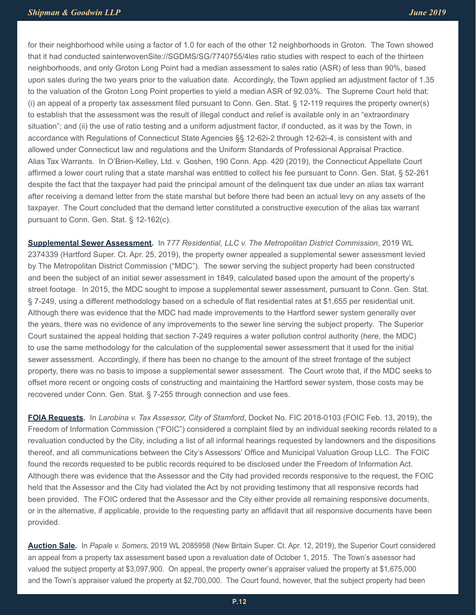for their neighborhood while using a factor of 1.0 for each of the other 12 neighborhoods in Groton. The Town showed that it had conducted sainterwovenSite://SGDMS/SG/7740755/4les ratio studies with respect to each of the thirteen neighborhoods, and only Groton Long Point had a median assessment to sales ratio (ASR) of less than 90%, based upon sales during the two years prior to the valuation date. Accordingly, the Town applied an adjustment factor of 1.35 to the valuation of the Groton Long Point properties to yield a median ASR of 92.03%. The Supreme Court held that: (i) an appeal of a property tax assessment filed pursuant to Conn. Gen. Stat. § 12-119 requires the property owner(s) to establish that the assessment was the result of illegal conduct and relief is available only in an "extraordinary situation"; and (ii) the use of ratio testing and a uniform adjustment factor, if conducted, as it was by the Town, in accordance with Regulations of Connecticut State Agencies §§ 12-62i-2 through 12-62i-4, is consistent with and allowed under Connecticut law and regulations and the Uniform Standards of Professional Appraisal Practice. Alias Tax Warrants. In O'Brien-Kelley, Ltd. v. Goshen, 190 Conn. App. 420 (2019), the Connecticut Appellate Court affirmed a lower court ruling that a state marshal was entitled to collect his fee pursuant to Conn. Gen. Stat. § 52-261 despite the fact that the taxpayer had paid the principal amount of the delinquent tax due under an alias tax warrant after receiving a demand letter from the state marshal but before there had been an actual levy on any assets of the taxpayer. The Court concluded that the demand letter constituted a constructive execution of the alias tax warrant pursuant to Conn. Gen. Stat. § 12-162(c).

**Supplemental Sewer Assessment.** In 7*77 Residential, LLC v. The Metropolitan District Commission*, 2019 WL 2374339 (Hartford Super. Ct. Apr. 25, 2019), the property owner appealed a supplemental sewer assessment levied by The Metropolitan District Commission ("MDC"). The sewer serving the subject property had been constructed and been the subject of an initial sewer assessment in 1849, calculated based upon the amount of the property's street footage. In 2015, the MDC sought to impose a supplemental sewer assessment, pursuant to Conn. Gen. Stat. § 7-249, using a different methodology based on a schedule of flat residential rates at \$1,655 per residential unit. Although there was evidence that the MDC had made improvements to the Hartford sewer system generally over the years, there was no evidence of any improvements to the sewer line serving the subject property. The Superior Court sustained the appeal holding that section 7-249 requires a water pollution control authority (here, the MDC) to use the same methodology for the calculation of the supplemental sewer assessment that it used for the initial sewer assessment. Accordingly, if there has been no change to the amount of the street frontage of the subject property, there was no basis to impose a supplemental sewer assessment. The Court wrote that, if the MDC seeks to offset more recent or ongoing costs of constructing and maintaining the Hartford sewer system, those costs may be recovered under Conn. Gen. Stat. § 7-255 through connection and use fees.

**FOIA Requests.** In *Larobina v. Tax Assessor, City of Stamford*, Docket No. FIC 2018-0103 (FOIC Feb. 13, 2019), the Freedom of Information Commission ("FOIC") considered a complaint filed by an individual seeking records related to a revaluation conducted by the City, including a list of all informal hearings requested by landowners and the dispositions thereof, and all communications between the City's Assessors' Office and Municipal Valuation Group LLC. The FOIC found the records requested to be public records required to be disclosed under the Freedom of Information Act. Although there was evidence that the Assessor and the City had provided records responsive to the request, the FOIC held that the Assessor and the City had violated the Act by not providing testimony that all responsive records had been provided. The FOIC ordered that the Assessor and the City either provide all remaining responsive documents, or in the alternative, if applicable, provide to the requesting party an affidavit that all responsive documents have been provided.

**Auction Sale.** In *Papale v. Somers*, 2019 WL 2085958 (New Britain Super. Ct. Apr. 12, 2019), the Superior Court considered an appeal from a property tax assessment based upon a revaluation date of October 1, 2015. The Town's assessor had valued the subject property at \$3,097,900. On appeal, the property owner's appraiser valued the property at \$1,675,000 and the Town's appraiser valued the property at \$2,700,000. The Court found, however, that the subject property had been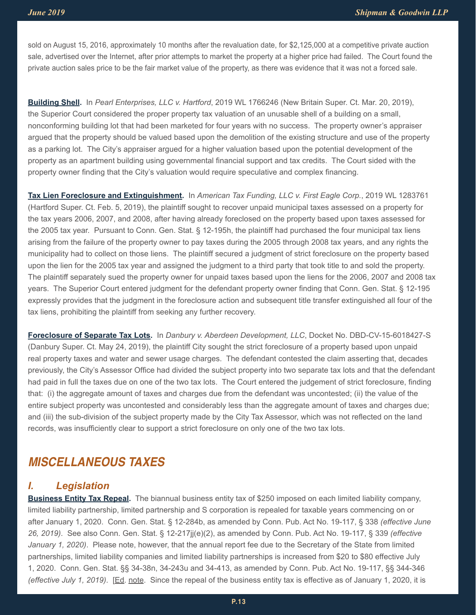sold on August 15, 2016, approximately 10 months after the revaluation date, for \$2,125,000 at a competitive private auction sale, advertised over the Internet, after prior attempts to market the property at a higher price had failed. The Court found the private auction sales price to be the fair market value of the property, as there was evidence that it was not a forced sale.

**Building Shell.** In *Pearl Enterprises, LLC v. Hartford*, 2019 WL 1766246 (New Britain Super. Ct. Mar. 20, 2019), the Superior Court considered the proper property tax valuation of an unusable shell of a building on a small, nonconforming building lot that had been marketed for four years with no success. The property owner's appraiser argued that the property should be valued based upon the demolition of the existing structure and use of the property as a parking lot. The City's appraiser argued for a higher valuation based upon the potential development of the property as an apartment building using governmental financial support and tax credits. The Court sided with the property owner finding that the City's valuation would require speculative and complex financing.

**Tax Lien Foreclosure and Extinguishment.** In *American Tax Funding, LLC v. First Eagle Corp.*, 2019 WL 1283761 (Hartford Super. Ct. Feb. 5, 2019), the plaintiff sought to recover unpaid municipal taxes assessed on a property for the tax years 2006, 2007, and 2008, after having already foreclosed on the property based upon taxes assessed for the 2005 tax year. Pursuant to Conn. Gen. Stat. § 12-195h, the plaintiff had purchased the four municipal tax liens arising from the failure of the property owner to pay taxes during the 2005 through 2008 tax years, and any rights the municipality had to collect on those liens. The plaintiff secured a judgment of strict foreclosure on the property based upon the lien for the 2005 tax year and assigned the judgment to a third party that took title to and sold the property. The plaintiff separately sued the property owner for unpaid taxes based upon the liens for the 2006, 2007 and 2008 tax years. The Superior Court entered judgment for the defendant property owner finding that Conn. Gen. Stat. § 12-195 expressly provides that the judgment in the foreclosure action and subsequent title transfer extinguished all four of the tax liens, prohibiting the plaintiff from seeking any further recovery.

**Foreclosure of Separate Tax Lots.** In *Danbury v. Aberdeen Development, LLC*, Docket No. DBD-CV-15-6018427-S (Danbury Super. Ct. May 24, 2019), the plaintiff City sought the strict foreclosure of a property based upon unpaid real property taxes and water and sewer usage charges. The defendant contested the claim asserting that, decades previously, the City's Assessor Office had divided the subject property into two separate tax lots and that the defendant had paid in full the taxes due on one of the two tax lots. The Court entered the judgement of strict foreclosure, finding that: (i) the aggregate amount of taxes and charges due from the defendant was uncontested; (ii) the value of the entire subject property was uncontested and considerably less than the aggregate amount of taxes and charges due; and (iii) the sub-division of the subject property made by the City Tax Assessor, which was not reflected on the land records, was insufficiently clear to support a strict foreclosure on only one of the two tax lots.

## *MISCELLANEOUS TAXES*

## *I. Legislation*

**Business Entity Tax Repeal.** The biannual business entity tax of \$250 imposed on each limited liability company, limited liability partnership, limited partnership and S corporation is repealed for taxable years commencing on or after January 1, 2020. Conn. Gen. Stat. § 12-284b, as amended by Conn. Pub. Act No. 19-117, § 338 *(effective June 26, 2019)*. See also Conn. Gen. Stat. § 12-217jj(e)(2), as amended by Conn. Pub. Act No. 19-117, § 339 *(effective January 1, 2020)*. Please note, however, that the annual report fee due to the Secretary of the State from limited partnerships, limited liability companies and limited liability partnerships is increased from \$20 to \$80 effective July 1, 2020. Conn. Gen. Stat. §§ 34-38n, 34-243u and 34-413, as amended by Conn. Pub. Act No. 19-117, §§ 344-346 *(effective July 1, 2019)*. [Ed. note. Since the repeal of the business entity tax is effective as of January 1, 2020, it is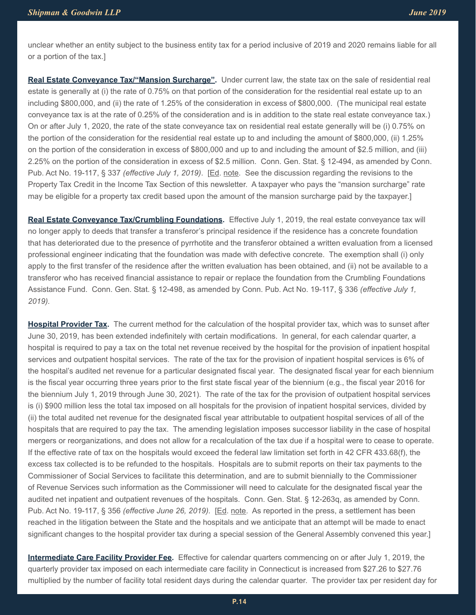unclear whether an entity subject to the business entity tax for a period inclusive of 2019 and 2020 remains liable for all or a portion of the tax.]

**Real Estate Conveyance Tax/"Mansion Surcharge".** Under current law, the state tax on the sale of residential real estate is generally at (i) the rate of 0.75% on that portion of the consideration for the residential real estate up to an including \$800,000, and (ii) the rate of 1.25% of the consideration in excess of \$800,000. (The municipal real estate conveyance tax is at the rate of 0.25% of the consideration and is in addition to the state real estate conveyance tax.) On or after July 1, 2020, the rate of the state conveyance tax on residential real estate generally will be (i) 0.75% on the portion of the consideration for the residential real estate up to and including the amount of \$800,000, (ii) 1.25% on the portion of the consideration in excess of \$800,000 and up to and including the amount of \$2.5 million, and (iii) 2.25% on the portion of the consideration in excess of \$2.5 million. Conn. Gen. Stat. § 12-494, as amended by Conn. Pub. Act No. 19-117, § 337 *(effective July 1, 2019)*. [Ed. note. See the discussion regarding the revisions to the Property Tax Credit in the Income Tax Section of this newsletter. A taxpayer who pays the "mansion surcharge" rate may be eligible for a property tax credit based upon the amount of the mansion surcharge paid by the taxpayer.]

**Real Estate Conveyance Tax/Crumbling Foundations.** Effective July 1, 2019, the real estate conveyance tax will no longer apply to deeds that transfer a transferor's principal residence if the residence has a concrete foundation that has deteriorated due to the presence of pyrrhotite and the transferor obtained a written evaluation from a licensed professional engineer indicating that the foundation was made with defective concrete. The exemption shall (i) only apply to the first transfer of the residence after the written evaluation has been obtained, and (ii) not be available to a transferor who has received financial assistance to repair or replace the foundation from the Crumbling Foundations Assistance Fund. Conn. Gen. Stat. § 12-498, as amended by Conn. Pub. Act No. 19-117, § 336 *(effective July 1, 2019).*

**Hospital Provider Tax.** The current method for the calculation of the hospital provider tax, which was to sunset after June 30, 2019, has been extended indefinitely with certain modifications. In general, for each calendar quarter, a hospital is required to pay a tax on the total net revenue received by the hospital for the provision of inpatient hospital services and outpatient hospital services. The rate of the tax for the provision of inpatient hospital services is 6% of the hospital's audited net revenue for a particular designated fiscal year. The designated fiscal year for each biennium is the fiscal year occurring three years prior to the first state fiscal year of the biennium (e.g., the fiscal year 2016 for the biennium July 1, 2019 through June 30, 2021). The rate of the tax for the provision of outpatient hospital services is (i) \$900 million less the total tax imposed on all hospitals for the provision of inpatient hospital services, divided by (ii) the total audited net revenue for the designated fiscal year attributable to outpatient hospital services of all of the hospitals that are required to pay the tax. The amending legislation imposes successor liability in the case of hospital mergers or reorganizations, and does not allow for a recalculation of the tax due if a hospital were to cease to operate. If the effective rate of tax on the hospitals would exceed the federal law limitation set forth in 42 CFR 433.68(f), the excess tax collected is to be refunded to the hospitals. Hospitals are to submit reports on their tax payments to the Commissioner of Social Services to facilitate this determination, and are to submit biennially to the Commissioner of Revenue Services such information as the Commissioner will need to calculate for the designated fiscal year the audited net inpatient and outpatient revenues of the hospitals. Conn. Gen. Stat. § 12-263q, as amended by Conn. Pub. Act No. 19-117, § 356 *(effective June 26, 2019).* [Ed. note. As reported in the press, a settlement has been reached in the litigation between the State and the hospitals and we anticipate that an attempt will be made to enact significant changes to the hospital provider tax during a special session of the General Assembly convened this year.]

**Intermediate Care Facility Provider Fee.** Effective for calendar quarters commencing on or after July 1, 2019, the quarterly provider tax imposed on each intermediate care facility in Connecticut is increased from \$27.26 to \$27.76 multiplied by the number of facility total resident days during the calendar quarter. The provider tax per resident day for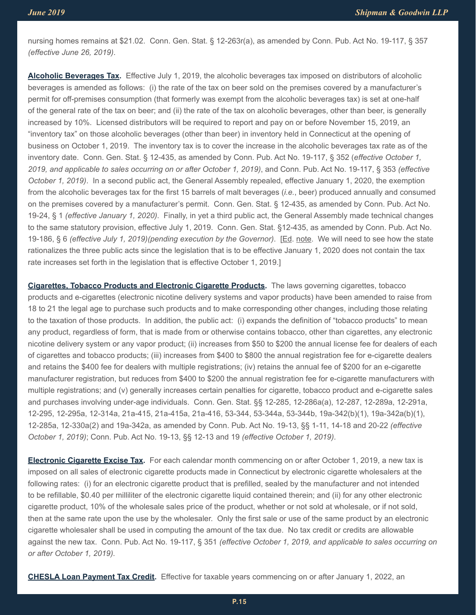nursing homes remains at \$21.02. Conn. Gen. Stat. § 12-263r(a), as amended by Conn. Pub. Act No. 19-117, § 357 *(effective June 26, 2019)*.

**Alcoholic Beverages Tax.** Effective July 1, 2019, the alcoholic beverages tax imposed on distributors of alcoholic beverages is amended as follows: (i) the rate of the tax on beer sold on the premises covered by a manufacturer's permit for off-premises consumption (that formerly was exempt from the alcoholic beverages tax) is set at one-half of the general rate of the tax on beer; and (ii) the rate of the tax on alcoholic beverages, other than beer, is generally increased by 10%. Licensed distributors will be required to report and pay on or before November 15, 2019, an "inventory tax" on those alcoholic beverages (other than beer) in inventory held in Connecticut at the opening of business on October 1, 2019. The inventory tax is to cover the increase in the alcoholic beverages tax rate as of the inventory date. Conn. Gen. Stat. § 12-435, as amended by Conn. Pub. Act No. 19-117, § 352 (*effective October 1, 2019, and applicable to sales occurring on or after October 1, 2019)*, and Conn. Pub. Act No. 19-117, § 353 *(effective October 1, 2019)*. In a second public act, the General Assembly repealed, effective January 1, 2020, the exemption from the alcoholic beverages tax for the first 15 barrels of malt beverages (*i.e.*, beer) produced annually and consumed on the premises covered by a manufacturer's permit. Conn. Gen. Stat. § 12-435, as amended by Conn. Pub. Act No. 19-24, § 1 *(effective January 1, 2020)*. Finally, in yet a third public act, the General Assembly made technical changes to the same statutory provision, effective July 1, 2019. Conn. Gen. Stat. §12-435, as amended by Conn. Pub. Act No. 19-186, § 6 *(effective July 1, 2019)(pending execution by the Governor)*. [Ed. note. We will need to see how the state rationalizes the three public acts since the legislation that is to be effective January 1, 2020 does not contain the tax rate increases set forth in the legislation that is effective October 1, 2019.]

**Cigarettes, Tobacco Products and Electronic Cigarette Products.** The laws governing cigarettes, tobacco products and e-cigarettes (electronic nicotine delivery systems and vapor products) have been amended to raise from 18 to 21 the legal age to purchase such products and to make corresponding other changes, including those relating to the taxation of those products. In addition, the public act: (i) expands the definition of "tobacco products" to mean any product, regardless of form, that is made from or otherwise contains tobacco, other than cigarettes, any electronic nicotine delivery system or any vapor product; (ii) increases from \$50 to \$200 the annual license fee for dealers of each of cigarettes and tobacco products; (iii) increases from \$400 to \$800 the annual registration fee for e-cigarette dealers and retains the \$400 fee for dealers with multiple registrations; (iv) retains the annual fee of \$200 for an e-cigarette manufacturer registration, but reduces from \$400 to \$200 the annual registration fee for e-cigarette manufacturers with multiple registrations; and (v) generally increases certain penalties for cigarette, tobacco product and e-cigarette sales and purchases involving under-age individuals. Conn. Gen. Stat. §§ 12-285, 12-286a(a), 12-287, 12-289a, 12-291a, 12-295, 12-295a, 12-314a, 21a-415, 21a-415a, 21a-416, 53-344, 53-344a, 53-344b, 19a-342(b)(1), 19a-342a(b)(1), 12-285a, 12-330a(2) and 19a-342a, as amended by Conn. Pub. Act No. 19-13, §§ 1-11, 14-18 and 20-22 *(effective October 1, 2019)*; Conn. Pub. Act No. 19-13, §§ 12-13 and 19 *(effective October 1, 2019)*.

**Electronic Cigarette Excise Tax.** For each calendar month commencing on or after October 1, 2019, a new tax is imposed on all sales of electronic cigarette products made in Connecticut by electronic cigarette wholesalers at the following rates: (i) for an electronic cigarette product that is prefilled, sealed by the manufacturer and not intended to be refillable, \$0.40 per milliliter of the electronic cigarette liquid contained therein; and (ii) for any other electronic cigarette product, 10% of the wholesale sales price of the product, whether or not sold at wholesale, or if not sold, then at the same rate upon the use by the wholesaler. Only the first sale or use of the same product by an electronic cigarette wholesaler shall be used in computing the amount of the tax due. No tax credit or credits are allowable against the new tax. Conn. Pub. Act No. 19-117, § 351 *(effective October 1, 2019, and applicable to sales occurring on or after October 1, 2019).*

**CHESLA Loan Payment Tax Credit.** Effective for taxable years commencing on or after January 1, 2022, an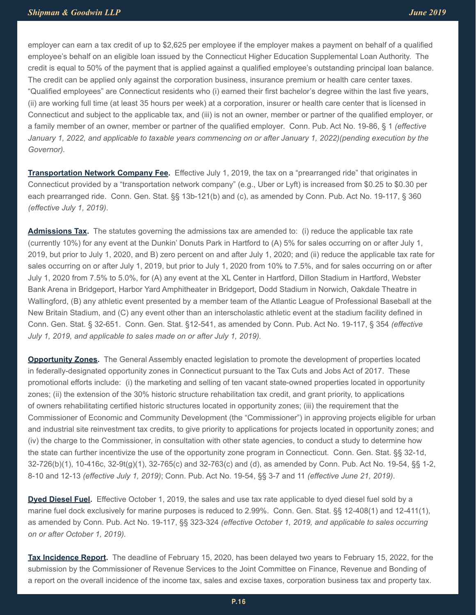employer can earn a tax credit of up to \$2,625 per employee if the employer makes a payment on behalf of a qualified employee's behalf on an eligible loan issued by the Connecticut Higher Education Supplemental Loan Authority. The credit is equal to 50% of the payment that is applied against a qualified employee's outstanding principal loan balance. The credit can be applied only against the corporation business, insurance premium or health care center taxes. "Qualified employees" are Connecticut residents who (i) earned their first bachelor's degree within the last five years, (ii) are working full time (at least 35 hours per week) at a corporation, insurer or health care center that is licensed in Connecticut and subject to the applicable tax, and (iii) is not an owner, member or partner of the qualified employer, or a family member of an owner, member or partner of the qualified employer. Conn. Pub. Act No. 19-86, § 1 *(effective January 1, 2022, and applicable to taxable years commencing on or after January 1, 2022)(pending execution by the Governor).*

**Transportation Network Company Fee.** Effective July 1, 2019, the tax on a "prearranged ride" that originates in Connecticut provided by a "transportation network company" (e.g., Uber or Lyft) is increased from \$0.25 to \$0.30 per each prearranged ride. Conn. Gen. Stat. §§ 13b-121(b) and (c), as amended by Conn. Pub. Act No. 19-117, § 360 *(effective July 1, 2019)*.

**Admissions Tax.** The statutes governing the admissions tax are amended to: (i) reduce the applicable tax rate (currently 10%) for any event at the Dunkin' Donuts Park in Hartford to (A) 5% for sales occurring on or after July 1, 2019, but prior to July 1, 2020, and B) zero percent on and after July 1, 2020; and (ii) reduce the applicable tax rate for sales occurring on or after July 1, 2019, but prior to July 1, 2020 from 10% to 7.5%, and for sales occurring on or after July 1, 2020 from 7.5% to 5.0%, for (A) any event at the XL Center in Hartford, Dillon Stadium in Hartford, Webster Bank Arena in Bridgeport, Harbor Yard Amphitheater in Bridgeport, Dodd Stadium in Norwich, Oakdale Theatre in Wallingford, (B) any athletic event presented by a member team of the Atlantic League of Professional Baseball at the New Britain Stadium, and (C) any event other than an interscholastic athletic event at the stadium facility defined in Conn. Gen. Stat. § 32-651. Conn. Gen. Stat. §12-541, as amended by Conn. Pub. Act No. 19-117, § 354 *(effective July 1, 2019, and applicable to sales made on or after July 1, 2019).*

**Opportunity Zones.** The General Assembly enacted legislation to promote the development of properties located in federally-designated opportunity zones in Connecticut pursuant to the Tax Cuts and Jobs Act of 2017. These promotional efforts include: (i) the marketing and selling of ten vacant state-owned properties located in opportunity zones; (ii) the extension of the 30% historic structure rehabilitation tax credit, and grant priority, to applications of owners rehabilitating certified historic structures located in opportunity zones; (iii) the requirement that the Commissioner of Economic and Community Development (the "Commissioner") in approving projects eligible for urban and industrial site reinvestment tax credits, to give priority to applications for projects located in opportunity zones; and (iv) the charge to the Commissioner, in consultation with other state agencies, to conduct a study to determine how the state can further incentivize the use of the opportunity zone program in Connecticut. Conn. Gen. Stat. §§ 32-1d, 32-726(b)(1), 10-416c, 32-9t(g)(1), 32-765(c) and 32-763(c) and (d), as amended by Conn. Pub. Act No. 19-54, §§ 1-2, 8-10 and 12-13 *(effective July 1, 2019)*; Conn. Pub. Act No. 19-54, §§ 3-7 and 11 *(effective June 21, 2019)*.

**Dyed Diesel Fuel.** Effective October 1, 2019, the sales and use tax rate applicable to dyed diesel fuel sold by a marine fuel dock exclusively for marine purposes is reduced to 2.99%. Conn. Gen. Stat. §§ 12-408(1) and 12-411(1), as amended by Conn. Pub. Act No. 19-117, §§ 323-324 *(effective October 1, 2019, and applicable to sales occurring on or after October 1, 2019).*

**Tax Incidence Report.** The deadline of February 15, 2020, has been delayed two years to February 15, 2022, for the submission by the Commissioner of Revenue Services to the Joint Committee on Finance, Revenue and Bonding of a report on the overall incidence of the income tax, sales and excise taxes, corporation business tax and property tax.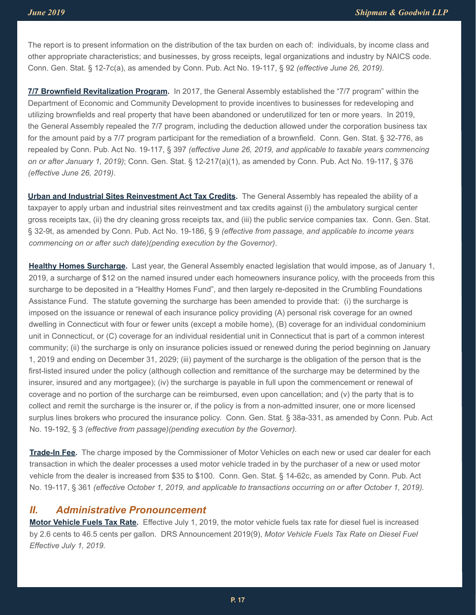The report is to present information on the distribution of the tax burden on each of: individuals, by income class and other appropriate characteristics; and businesses, by gross receipts, legal organizations and industry by NAICS code. Conn. Gen. Stat. § 12-7c(a), as amended by Conn. Pub. Act No. 19-117, § 92 *(effective June 26, 2019).*

**7/7 Brownfield Revitalization Program.** In 2017, the General Assembly established the "7/7 program" within the Department of Economic and Community Development to provide incentives to businesses for redeveloping and utilizing brownfields and real property that have been abandoned or underutilized for ten or more years. In 2019, the General Assembly repealed the 7/7 program, including the deduction allowed under the corporation business tax for the amount paid by a 7/7 program participant for the remediation of a brownfield. Conn. Gen. Stat. § 32-776, as repealed by Conn. Pub. Act No. 19-117, § 397 *(effective June 26, 2019, and applicable to taxable years commencing on or after January 1, 2019)*; Conn. Gen. Stat. § 12-217(a)(1), as amended by Conn. Pub. Act No. 19-117, § 376 *(effective June 26, 2019)*.

**Urban and Industrial Sites Reinvestment Act Tax Credits.** The General Assembly has repealed the ability of a taxpayer to apply urban and industrial sites reinvestment and tax credits against (i) the ambulatory surgical center gross receipts tax, (ii) the dry cleaning gross receipts tax, and (iii) the public service companies tax. Conn. Gen. Stat. § 32-9t, as amended by Conn. Pub. Act No. 19-186, § 9 *(effective from passage, and applicable to income years commencing on or after such date)(pending execution by the Governor)*.

**Healthy Homes Surcharge.** Last year, the General Assembly enacted legislation that would impose, as of January 1, 2019, a surcharge of \$12 on the named insured under each homeowners insurance policy, with the proceeds from this surcharge to be deposited in a "Healthy Homes Fund", and then largely re-deposited in the Crumbling Foundations Assistance Fund. The statute governing the surcharge has been amended to provide that: (i) the surcharge is imposed on the issuance or renewal of each insurance policy providing (A) personal risk coverage for an owned dwelling in Connecticut with four or fewer units (except a mobile home), (B) coverage for an individual condominium unit in Connecticut, or (C) coverage for an individual residential unit in Connecticut that is part of a common interest community; (ii) the surcharge is only on insurance policies issued or renewed during the period beginning on January 1, 2019 and ending on December 31, 2029; (iii) payment of the surcharge is the obligation of the person that is the first-listed insured under the policy (although collection and remittance of the surcharge may be determined by the insurer, insured and any mortgagee); (iv) the surcharge is payable in full upon the commencement or renewal of coverage and no portion of the surcharge can be reimbursed, even upon cancellation; and (v) the party that is to collect and remit the surcharge is the insurer or, if the policy is from a non-admitted insurer, one or more licensed surplus lines brokers who procured the insurance policy. Conn. Gen. Stat. § 38a-331, as amended by Conn. Pub. Act No. 19-192, § 3 *(effective from passage)(pending execution by the Governor).*

**Trade-In Fee.** The charge imposed by the Commissioner of Motor Vehicles on each new or used car dealer for each transaction in which the dealer processes a used motor vehicle traded in by the purchaser of a new or used motor vehicle from the dealer is increased from \$35 to \$100. Conn. Gen. Stat. § 14-62c, as amended by Conn. Pub. Act No. 19-117, § 361 *(effective October 1, 2019, and applicable to transactions occurring on or after October 1, 2019).*

#### *II. Administrative Pronouncement*

**Motor Vehicle Fuels Tax Rate.** Effective July 1, 2019, the motor vehicle fuels tax rate for diesel fuel is increased by 2.6 cents to 46.5 cents per gallon. DRS Announcement 2019(9), *Motor Vehicle Fuels Tax Rate on Diesel Fuel Effective July 1, 2019.*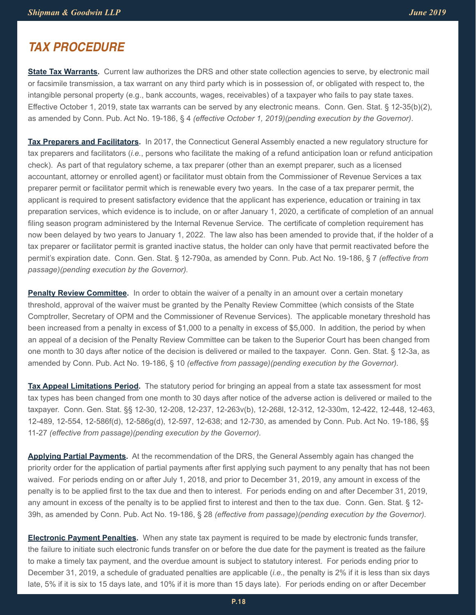## *TAX PROCEDURE*

**State Tax Warrants.** Current law authorizes the DRS and other state collection agencies to serve, by electronic mail or facsimile transmission, a tax warrant on any third party which is in possession of, or obligated with respect to, the intangible personal property (e.g., bank accounts, wages, receivables) of a taxpayer who fails to pay state taxes. Effective October 1, 2019, state tax warrants can be served by any electronic means. Conn. Gen. Stat. § 12-35(b)(2), as amended by Conn. Pub. Act No. 19-186, § 4 *(effective October 1, 2019)(pending execution by the Governor)*.

**Tax Preparers and Facilitators.** In 2017, the Connecticut General Assembly enacted a new regulatory structure for tax preparers and facilitators (*i.e.*, persons who facilitate the making of a refund anticipation loan or refund anticipation check). As part of that regulatory scheme, a tax preparer (other than an exempt preparer, such as a licensed accountant, attorney or enrolled agent) or facilitator must obtain from the Commissioner of Revenue Services a tax preparer permit or facilitator permit which is renewable every two years. In the case of a tax preparer permit, the applicant is required to present satisfactory evidence that the applicant has experience, education or training in tax preparation services, which evidence is to include, on or after January 1, 2020, a certificate of completion of an annual filing season program administered by the Internal Revenue Service. The certificate of completion requirement has now been delayed by two years to January 1, 2022. The law also has been amended to provide that, if the holder of a tax preparer or facilitator permit is granted inactive status, the holder can only have that permit reactivated before the permit's expiration date. Conn. Gen. Stat. § 12-790a, as amended by Conn. Pub. Act No. 19-186, § 7 *(effective from passage)(pending execution by the Governor).*

**Penalty Review Committee.** In order to obtain the waiver of a penalty in an amount over a certain monetary threshold, approval of the waiver must be granted by the Penalty Review Committee (which consists of the State Comptroller, Secretary of OPM and the Commissioner of Revenue Services). The applicable monetary threshold has been increased from a penalty in excess of \$1,000 to a penalty in excess of \$5,000. In addition, the period by when an appeal of a decision of the Penalty Review Committee can be taken to the Superior Court has been changed from one month to 30 days after notice of the decision is delivered or mailed to the taxpayer. Conn. Gen. Stat. § 12-3a, as amended by Conn. Pub. Act No. 19-186, § 10 *(effective from passage)(pending execution by the Governor).*

**Tax Appeal Limitations Period.** The statutory period for bringing an appeal from a state tax assessment for most tax types has been changed from one month to 30 days after notice of the adverse action is delivered or mailed to the taxpayer. Conn. Gen. Stat. §§ 12-30, 12-208, 12-237, 12-263v(b), 12-268l, 12-312, 12-330m, 12-422, 12-448, 12-463, 12-489, 12-554, 12-586f(d), 12-586g(d), 12-597, 12-638; and 12-730, as amended by Conn. Pub. Act No. 19-186, §§ 11-27 *(effective from passage)(pending execution by the Governor).*

**Applying Partial Payments.** At the recommendation of the DRS, the General Assembly again has changed the priority order for the application of partial payments after first applying such payment to any penalty that has not been waived. For periods ending on or after July 1, 2018, and prior to December 31, 2019, any amount in excess of the penalty is to be applied first to the tax due and then to interest. For periods ending on and after December 31, 2019, any amount in excess of the penalty is to be applied first to interest and then to the tax due. Conn. Gen. Stat. § 12- 39h, as amended by Conn. Pub. Act No. 19-186, § 28 *(effective from passage)(pending execution by the Governor).*

**Electronic Payment Penalties.** When any state tax payment is required to be made by electronic funds transfer, the failure to initiate such electronic funds transfer on or before the due date for the payment is treated as the failure to make a timely tax payment, and the overdue amount is subject to statutory interest. For periods ending prior to December 31, 2019, a schedule of graduated penalties are applicable (*i.e.,* the penalty is 2% if it is less than six days late, 5% if it is six to 15 days late, and 10% if it is more than 15 days late). For periods ending on or after December